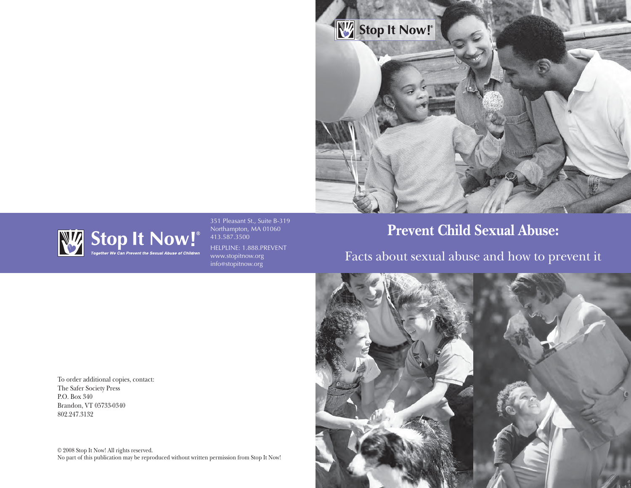



351 Pleasant St., Suite B-319 Northampton, MA 01060 413.587.3500 HELPLINE: 1.888.PREVENT www.stopitnow.org info@stopitnow.org

# **Prevent Child Sexual Abuse:**

To order additional copies, contact: The Safer Society Press P.O. Box 340 Brandon, VT 05733-0340 802.247.3132

413.587.3500

© 2008 Stop It Now! All rights reserved. No part of this publication may be reproduced without written permission from Stop It Now!

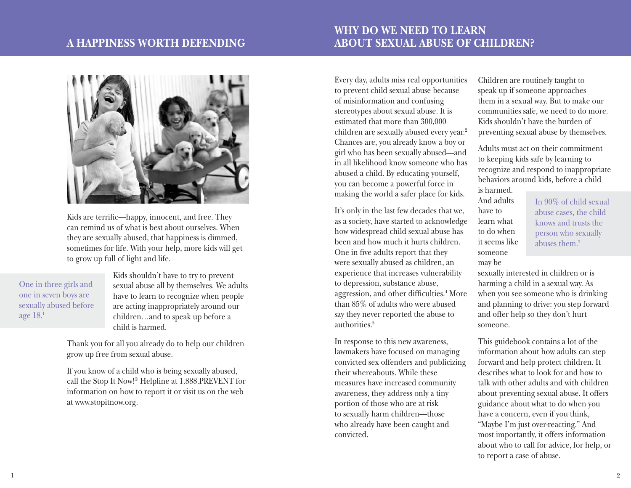## **A Happiness Worth Defending**

## **Why Do We Need To Learn About Sexual Abuse of Children?**



Kids are terrific—happy, innocent, and free. They can remind us of what is best about ourselves. When they are sexually abused, that happiness is dimmed, sometimes for life. With your help, more kids will get to grow up full of light and life.

One in three girls and one in seven boys are sexually abused before age 18.1

Kids shouldn't have to try to prevent sexual abuse all by themselves. We adults have to learn to recognize when people are acting inappropriately around our children…and to speak up before a child is harmed.

Thank you for all you already do to help our children grow up free from sexual abuse.

If you know of a child who is being sexually abused, call the Stop It Now!® Helpline at 1.888.PREVENT for information on how to report it or visit us on the web at www.stopitnow.org.

Every day, adults miss real opportunities to prevent child sexual abuse because of misinformation and confusing stereotypes about sexual abuse. It is estimated that more than 300,000 children are sexually abused every year.<sup>2</sup> Chances are, you already know a boy or girl who has been sexually abused—and in all likelihood know someone who has abused a child. By educating yourself, you can become a powerful force in making the world a safer place for kids.

It's only in the last few decades that we, as a society, have started to acknowledge how widespread child sexual abuse has been and how much it hurts children. One in five adults report that they were sexually abused as children, an experience that increases vulnerability to depression, substance abuse, aggression, and other difficulties.<sup>4</sup> More than 85% of adults who were abused say they never reported the abuse to authorities.5

In response to this new awareness, lawmakers have focused on managing convicted sex offenders and publicizing their whereabouts. While these measures have increased community awareness, they address only a tiny portion of those who are at risk to sexually harm children—those who already have been caught and convicted.

Children are routinely taught to speak up if someone approaches them in a sexual way. But to make our communities safe, we need to do more. Kids shouldn't have the burden of preventing sexual abuse by themselves.

Adults must act on their commitment to keeping kids safe by learning to recognize and respond to inappropriate behaviors around kids, before a child is harmed.

And adults have to learn what to do when it seems like someone may be

In 90% of child sexual abuse cases, the child knows and trusts the person who sexually abuses them.3

sexually interested in children or is harming a child in a sexual way. As when you see someone who is drinking and planning to drive: you step forward and offer help so they don't hurt someone.

This guidebook contains a lot of the information about how adults can step forward and help protect children. It describes what to look for and how to talk with other adults and with children about preventing sexual abuse. It offers guidance about what to do when you have a concern, even if you think, "Maybe I'm just over-reacting." And most importantly, it offers information about who to call for advice, for help, or to report a case of abuse.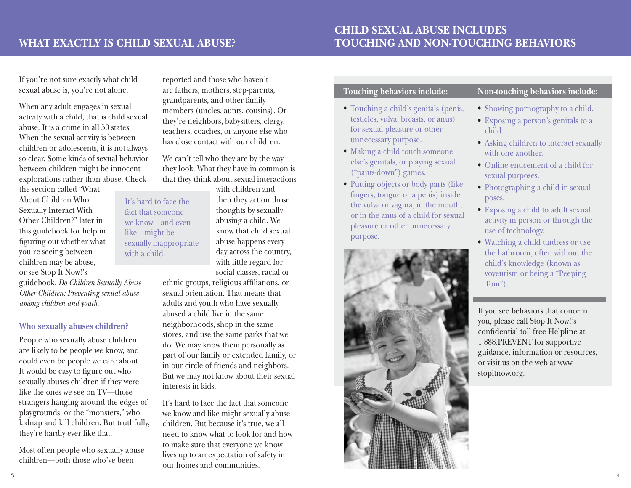It's hard to face the fact that someone we know—and even like—might be sexually inappropriate

with a child.

# **Child Sexual Abuse Includes Touching and Non-Touching Behaviors**

If you're not sure exactly what child sexual abuse is, you're not alone.

When any adult engages in sexual activity with a child, that is child sexual abuse. It is a crime in all 50 states. When the sexual activity is between children or adolescents, it is not always so clear. Some kinds of sexual behavior between children might be innocent explorations rather than abuse. Check

the section called "What About Children Who Sexually Interact With Other Children?" later in this guidebook for help in figuring out whether what you're seeing between children may be abuse, or see Stop It Now!'s

guidebook, *Do Children Sexually Abuse Other Children: Preventing sexual abuse among children and youth*.

### **Who sexually abuses children?**

People who sexually abuse children are likely to be people we know, and could even be people we care about. It would be easy to figure out who sexually abuses children if they were like the ones we see on TV—those strangers hanging around the edges of playgrounds, or the "monsters," who kidnap and kill children. But truthfully, they're hardly ever like that.

Most often people who sexually abuse children—both those who've been

reported and those who haven't are fathers, mothers, step-parents, grandparents, and other family members (uncles, aunts, cousins). Or they're neighbors, babysitters, clergy, teachers, coaches, or anyone else who has close contact with our children.

We can't tell who they are by the way they look. What they have in common is that they think about sexual interactions

> with children and then they act on those thoughts by sexually abusing a child. We know that child sexual abuse happens every day across the country, with little regard for social classes, racial or

ethnic groups, religious affiliations, or sexual orientation. That means that adults and youth who have sexually abused a child live in the same neighborhoods, shop in the same stores, and use the same parks that we do. We may know them personally as part of our family or extended family, or in our circle of friends and neighbors. But we may not know about their sexual interests in kids.

It's hard to face the fact that someone we know and like might sexually abuse children. But because it's true, we all need to know what to look for and how to make sure that everyone we know lives up to an expectation of safety in our homes and communities.

## **Touching behaviors include:**

- Touching a child's genitals (penis, testicles, vulva, breasts, or anus) for sexual pleasure or other unnecessary purpose.
- Making a child touch someone else's genitals, or playing sexual ("pants-down") games.
- Putting objects or body parts (like fingers, tongue or a penis) inside the vulva or vagina, in the mouth, or in the anus of a child for sexual pleasure or other unnecessary purpose.



# **Non-touching behaviors include:**

- Showing pornography to a child.
- Exposing a person's genitals to a child.
- Asking children to interact sexually with one another.
- Online enticement of a child for sexual purposes.
- Photographing a child in sexual poses.
- Exposing a child to adult sexual activity in person or through the use of technology.
- Watching a child undress or use the bathroom, often without the child's knowledge (known as voyeurism or being a "Peeping Tom").

If you see behaviors that concern you, please call Stop It Now!'s confidential toll-free Helpline at 1.888.PREVENT for supportive guidance, information or resources, or visit us on the web at www. stopitnow.org.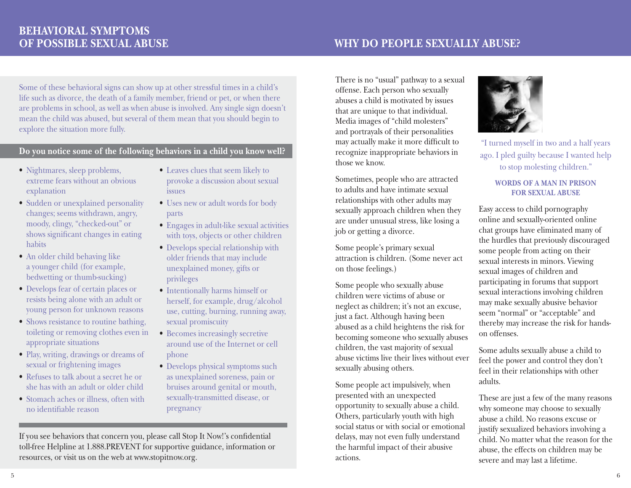Some of these behavioral signs can show up at other stressful times in a child's life such as divorce, the death of a family member, friend or pet, or when there are problems in school, as well as when abuse is involved. Any single sign doesn't mean the child was abused, but several of them mean that you should begin to explore the situation more fully.

# **Do you notice some of the following behaviors in a child you know well?** The may actually make it more difficult to  $\frac{1}{2}$  are I pled guilty because I wanted behaviors in

- Nightmares, sleep problems, extreme fears without an obvious explanation
- Sudden or unexplained personality changes; seems withdrawn, angry, moody, clingy, "checked-out" or shows significant changes in eating habits
- An older child behaving like a younger child (for example, bedwetting or thumb-sucking)
- • Develops fear of certain places or resists being alone with an adult or young person for unknown reasons
- Shows resistance to routine bathing, toileting or removing clothes even in appropriate situations
- • Play, writing, drawings or dreams of sexual or frightening images
- Refuses to talk about a secret he or she has with an adult or older child
- Stomach aches or illness, often with no identifiable reason
- • Leaves clues that seem likely to provoke a discussion about sexual issues
- Uses new or adult words for body parts
- • Engages in adult-like sexual activities with toys, objects or other children
- Develops special relationship with older friends that may include unexplained money, gifts or privileges
- • Intentionally harms himself or herself, for example, drug/alcohol use, cutting, burning, running away, sexual promiscuity
- Becomes increasingly secretive around use of the Internet or cell phone
- Develops physical symptoms such as unexplained soreness, pain or bruises around genital or mouth, sexually-transmitted disease, or pregnancy

If you see behaviors that concern you, please call Stop It Now!'s confidential toll-free Helpline at 1.888.PREVENT for supportive guidance, information or resources, or visit us on the web at www.stopitnow.org.

There is no "usual" pathway to a sexual offense. Each person who sexually abuses a child is motivated by issues that are unique to that individual. Media images of "child molesters" and portrayals of their personalities may actually make it more difficult to recognize inappropriate behaviors in those we know.

Sometimes, people who are attracted to adults and have intimate sexual relationships with other adults may sexually approach children when they are under unusual stress, like losing a job or getting a divorce.

Some people's primary sexual attraction is children. (Some never act on those feelings.)

Some people who sexually abuse children were victims of abuse or neglect as children; it's not an excuse, just a fact. Although having been abused as a child heightens the risk for becoming someone who sexually abuses children, the vast majority of sexual abuse victims live their lives without ever sexually abusing others.

Some people act impulsively, when presented with an unexpected opportunity to sexually abuse a child. Others, particularly youth with high social status or with social or emotional delays, may not even fully understand the harmful impact of their abusive actions.



ago. I pled guilty because I wanted help to stop molesting children."

#### **Words of a man in prison for sexual abuse**

Easy access to child pornography online and sexually-oriented online chat groups have eliminated many of the hurdles that previously discouraged some people from acting on their sexual interests in minors. Viewing sexual images of children and participating in forums that support sexual interactions involving children may make sexually abusive behavior seem "normal" or "acceptable" and thereby may increase the risk for handson offenses.

Some adults sexually abuse a child to feel the power and control they don't feel in their relationships with other adults.

These are just a few of the many reasons why someone may choose to sexually abuse a child. No reasons excuse or justify sexualized behaviors involving a child. No matter what the reason for the abuse, the effects on children may be severe and may last a lifetime.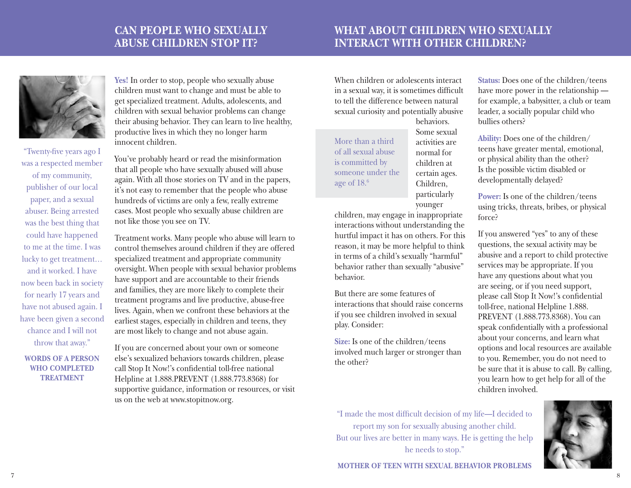# **Can People Who Sexually Abuse Children Stop It?**

# **What About Children Who Sexually Interact With Other Children?**



"Twenty-five years ago I was a respected member of my community, publisher of our local paper, and a sexual abuser. Being arrested was the best thing that could have happened to me at the time. I was lucky to get treatment… and it worked. I have now been back in society for nearly 17 years and have not abused again. I have been given a second chance and I will not throw that away."

**Words of a person who completed TREATMENT** 

**Yes!** In order to stop, people who sexually abuse children must want to change and must be able to get specialized treatment. Adults, adolescents, and children with sexual behavior problems can change their abusing behavior. They can learn to live healthy, productive lives in which they no longer harm innocent children.

You've probably heard or read the misinformation that all people who have sexually abused will abuse again. With all those stories on TV and in the papers, it's not easy to remember that the people who abuse hundreds of victims are only a few, really extreme cases. Most people who sexually abuse children are not like those you see on TV.

Treatment works. Many people who abuse will learn to control themselves around children if they are offered specialized treatment and appropriate community oversight. When people with sexual behavior problems have support and are accountable to their friends and families, they are more likely to complete their treatment programs and live productive, abuse-free lives. Again, when we confront these behaviors at the earliest stages, especially in children and teens, they are most likely to change and not abuse again.

If you are concerned about your own or someone else's sexualized behaviors towards children, please call Stop It Now!'s confidential toll-free national Helpline at 1.888.PREVENT (1.888.773.8368) for supportive guidance, information or resources, or visit us on the web at www.stopitnow.org.

When children or adolescents interact in a sexual way, it is sometimes difficult to tell the difference between natural sexual curiosity and potentially abusive

More than a third of all sexual abuse is committed by someone under the age of 18.6

behaviors. Some sexual activities are normal for children at certain ages. Children, particularly younger

children, may engage in inappropriate interactions without understanding the hurtful impact it has on others. For this reason, it may be more helpful to think in terms of a child's sexually "harmful" behavior rather than sexually "abusive" behavior.

But there are some features of interactions that should raise concerns if you see children involved in sexual play. Consider:

**Size:** Is one of the children/teens involved much larger or stronger than the other?

**Status:** Does one of the children/teens have more power in the relationship for example, a babysitter, a club or team leader, a socially popular child who bullies others?

**Ability:** Does one of the children/ teens have greater mental, emotional, or physical ability than the other? Is the possible victim disabled or developmentally delayed?

**Power:** Is one of the children/teens using tricks, threats, bribes, or physical force?

If you answered "yes" to any of these questions, the sexual activity may be abusive and a report to child protective services may be appropriate. If you have any questions about what you are seeing, or if you need support, please call Stop It Now!'s confidential toll-free, national Helpline 1.888. PREVENT (1.888.773.8368). You can speak confidentially with a professional about your concerns, and learn what options and local resources are available to you. Remember, you do not need to be sure that it is abuse to call. By calling, you learn how to get help for all of the children involved.

"I made the most difficult decision of my life—I decided to report my son for sexually abusing another child. But our lives are better in many ways. He is getting the help he needs to stop."



**Mother of teen with sexual behavior problems**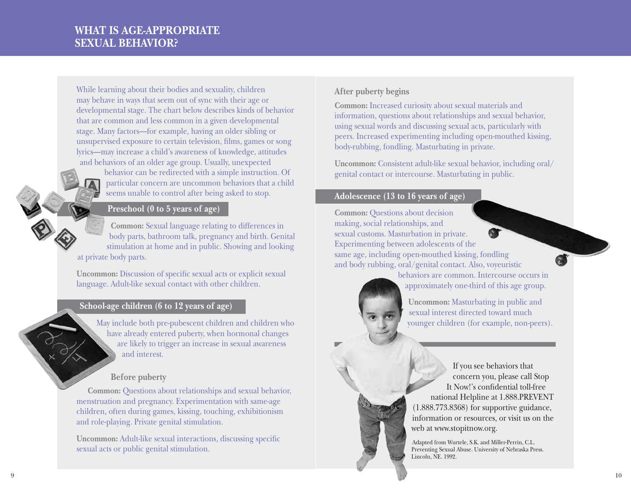While learning about their bodies and sexuality, children may behave in ways that seem out of sync with their age or developmental stage. The chart below describes kinds of behavior that are common and less common in a given developmental stage. Many factors—for example, having an older sibling or unsupervised exposure to certain television, films, games or song lyrics—may increase a child's awareness of knowledge, attitudes and behaviors of an older age group. Usually, unexpected

behavior can be redirected with a simple instruction. Of particular concern are uncommon behaviors that a child seems unable to control after being asked to stop.

## **Preschool (0 to 5 years of age)**

**Common:** Sexual language relating to differences in body parts, bathroom talk, pregnancy and birth. Genital stimulation at home and in public. Showing and looking at private body parts.

**Uncommon:** Discussion of specific sexual acts or explicit sexual language. Adult-like sexual contact with other children.

### **School-age children (6 to 12 years of age)**

May include both pre-pubescent children and children who have already entered puberty, when hormonal changes are likely to trigger an increase in sexual awareness and interest.

## **Before puberty**

**Common:** Questions about relationships and sexual behavior, menstruation and pregnancy. Experimentation with same-age children, often during games, kissing, touching, exhibitionism and role-playing. Private genital stimulation.

**Uncommon:** Adult-like sexual interactions, discussing specific sexual acts or public genital stimulation.

## **After puberty begins**

**Common:** Increased curiosity about sexual materials and information, questions about relationships and sexual behavior, using sexual words and discussing sexual acts, particularly with peers. Increased experimenting including open-mouthed kissing, body-rubbing, fondling. Masturbating in private.

**Uncommon:** Consistent adult-like sexual behavior, including oral/ genital contact or intercourse. Masturbating in public.

#### **Adolescence (13 to 16 years of age)**

**Common:** Questions about decision making, social relationships, and sexual customs. Masturbation in private. **AT** Experimenting between adolescents of the same age, including open-mouthed kissing, fondling and body rubbing, oral/genital contact. Also, voyeuristic

behaviors are common. Intercourse occurs in approximately one-third of this age group.

**Uncommon:** Masturbating in public and sexual interest directed toward much younger children (for example, non-peers).

If you see behaviors that concern you, please call Stop It Now!'s confidential toll-free national Helpline at 1.888.PREVENT (1.888.773.8368) for supportive guidance, information or resources, or visit us on the web at www.stopitnow.org.

Adapted from Wurtele, S.K. and Miller-Perrin, C.L. Preventing Sexual Abuse. University of Nebraska Press. Lincoln, NE. 1992.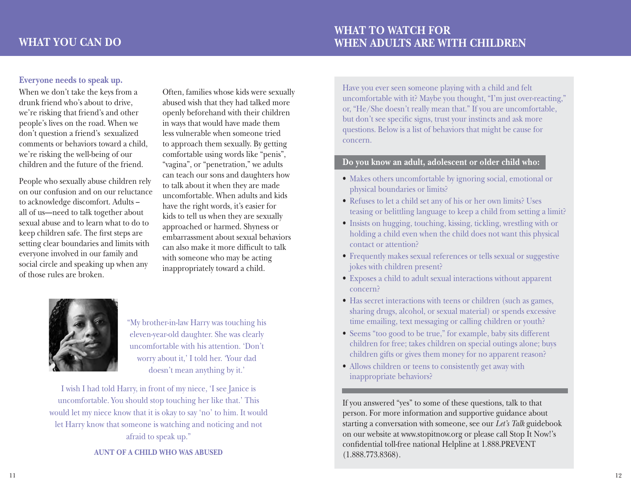## **Everyone needs to speak up.**

When we don't take the keys from a drunk friend who's about to drive, we're risking that friend's and other people's lives on the road. When we don't question a friend's sexualized comments or behaviors toward a child, we're risking the well-being of our children and the future of the friend.

People who sexually abuse children rely on our confusion and on our reluctance to acknowledge discomfort. Adults – all of us—need to talk together about sexual abuse and to learn what to do to keep children safe. The first steps are setting clear boundaries and limits with everyone involved in our family and social circle and speaking up when any of those rules are broken.

Often, families whose kids were sexually abused wish that they had talked more openly beforehand with their children in ways that would have made them less vulnerable when someone tried to approach them sexually. By getting comfortable using words like "penis", "vagina", or "penetration," we adults can teach our sons and daughters how to talk about it when they are made uncomfortable. When adults and kids have the right words, it's easier for kids to tell us when they are sexually approached or harmed. Shyness or embarrassment about sexual behaviors can also make it more difficult to talk with someone who may be acting inappropriately toward a child.



"My brother-in-law Harry was touching his eleven-year-old daughter. She was clearly uncomfortable with his attention. 'Don't worry about it,' I told her. 'Your dad doesn't mean anything by it.'

I wish I had told Harry, in front of my niece, 'I see Janice is uncomfortable. You should stop touching her like that.' This would let my niece know that it is okay to say 'no' to him. It would let Harry know that someone is watching and noticing and not afraid to speak up."

**Aunt of a child who was abused**

Have you ever seen someone playing with a child and felt uncomfortable with it? Maybe you thought, "I'm just over-reacting," or, "He/She doesn't really mean that." If you are uncomfortable, but don't see specific signs, trust your instincts and ask more questions. Below is a list of behaviors that might be cause for concern.

#### **Do you know an adult, adolescent or older child who:**

- Makes others uncomfortable by ignoring social, emotional or physical boundaries or limits?
- Refuses to let a child set any of his or her own limits? Uses teasing or belittling language to keep a child from setting a limit?
- • Insists on hugging, touching, kissing, tickling, wrestling with or holding a child even when the child does not want this physical contact or attention?
- Frequently makes sexual references or tells sexual or suggestive jokes with children present?
- • Exposes a child to adult sexual interactions without apparent concern?
- Has secret interactions with teens or children (such as games, sharing drugs, alcohol, or sexual material) or spends excessive time emailing, text messaging or calling children or youth?
- • Seems "too good to be true," for example, baby sits different children for free; takes children on special outings alone; buys children gifts or gives them money for no apparent reason?
- Allows children or teens to consistently get away with inappropriate behaviors?

If you answered "yes" to some of these questions, talk to that person. For more information and supportive guidance about starting a conversation with someone, see our *Let's Talk* guidebook on our website at www.stopitnow.org or please call Stop It Now!'s confidential toll-free national Helpline at 1.888.PREVENT (1.888.773.8368).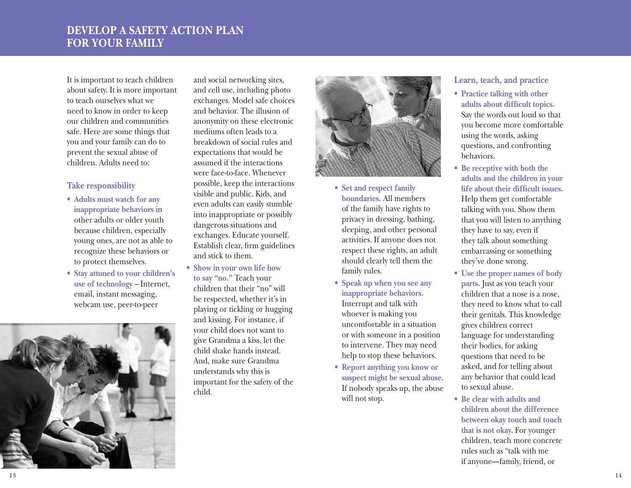# **develop a safety action pl For Your Fami ly**

It is important to teach children about safety. It is more important to teach ourselves what we need to know in order to keep our children and communities safe. Here are some things that you and your family can do to prevent the sexual abuse of children. Adults need to:

### **Take responsibility**

- • **Adults must watch for any inappropriate behaviors** in other adults or older youth because children, especially young ones, are not as able to recognize these behaviors or to protect themselves.
- • **Stay attuned to your children's use of technology** – Internet, email, instant messaging, webcam use, peer-to-peer



and social networking sites, and cell use, including photo exchanges. Model safe choices and behavior. The illusion of anonymity on these electronic mediums often leads to a breakdown of social rules and expectations that would be assumed if the interactions were face-to-face. Whenever possible, keep the interactions visible and public. Kids, and even adults can easily stumble into inappropriate or possibly dangerous situations and exchanges. Educate yourself. Establish clear, firm guidelines and stick to them.

• **Show in your own life how to say "no."** Teach your children that their "no" will be respected, whether it's in playing or tickling or hugging and kissing. For instance, if your child does not want to give Grandma a kiss, let the child shake hands instead. And, make sure Grandma understands why this is important for the safety of the child.



- • **Set and respect family boundaries.** All members of the family have rights to privacy in dressing, bathing, sleeping, and other personal activities. If anyone does not respect these rights, an adult should clearly tell them the family rules.
- • **Speak up when you see any inappropriate behaviors.** Interrupt and talk with whoever is making you uncomfortable in a situation or with someone in a position to intervene. They may need help to stop these behaviors.
- • **Report anything you know or suspect might be sexual abuse.** If nobody speaks up, the abuse will not stop.

## **Learn, teach, and practice**

- • **Practice talking with other adults about difficult topics.** Say the words out loud so that you become more comfortable using the words, asking questions, and confronting behaviors.
- • **Be receptive with both the adults and the children in your life about their difficult issues.** Help them get comfortable talking with you. Show them that you will listen to anything they have to say, even if they talk about something embarrassing or something they've done wrong.
- • **Use the proper names of body parts.** Just as you teach your children that a nose is a nose, they need to know what to call their genitals. This knowledge gives children correct language for understanding their bodies, for asking questions that need to be asked, and for telling about any behavior that could lead to sexual abuse.
- • **Be clear with adults and children about the difference between okay touch and touch that is not okay.** For younger children, teach more concrete rules such as "talk with me if anyone—family, friend, or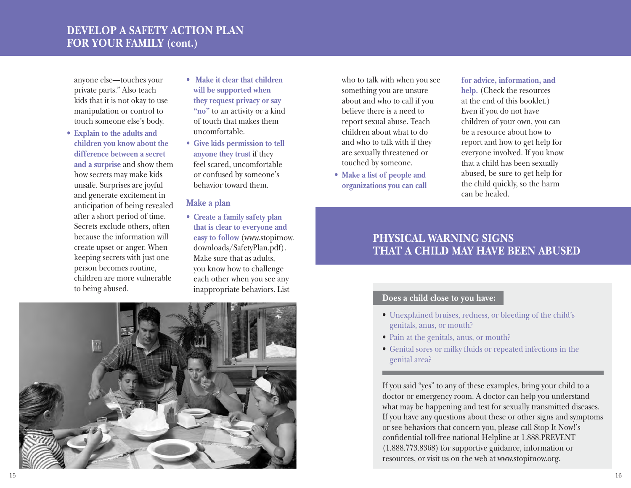# **Develop A Safety Action Plan For Your Family (cont.)**

anyone else—touches your private parts." Also teach kids that it is not okay to use manipulation or control to touch someone else's body.

- • **Explain to the adults and children you know about the difference between a secret and a surprise** and show them how secrets may make kids unsafe. Surprises are joyful and generate excitement in anticipation of being revealed after a short period of time. Secrets exclude others, often because the information will create upset or anger. When keeping secrets with just one person becomes routine, children are more vulnerable to being abused.
- • **Make it clear that children will be supported when they request privacy or say "no"** to an activity or a kind of touch that makes them uncomfortable.
- • **Give kids permission to tell anyone they trust** if they feel scared, uncomfortable or confused by someone's behavior toward them.

#### **Make a plan**

• **Create a family safety plan that is clear to everyone and easy to follow** (www.stopitnow. downloads/SafetyPlan.pdf). Make sure that as adults, you know how to challenge each other when you see any inappropriate behaviors. List

who to talk with when you see something you are unsure about and who to call if you believe there is a need to report sexual abuse. Teach children about what to do and who to talk with if they are sexually threatened or touched by someone.

• **Make a list of people and organizations you can call** 

## **for advice, information, and help.** (Check the resources at the end of this booklet.) Even if you do not have children of your own, you can be a resource about how to report and how to get help for everyone involved. If you know that a child has been sexually abused, be sure to get help for the child quickly, so the harm can be healed.

# **Physical Warning Signs that A Child May Have Been Abused**

## **Does a child close to you have:**

- • Unexplained bruises, redness, or bleeding of the child's genitals, anus, or mouth?
- Pain at the genitals, anus, or mouth?
- • Genital sores or milky fluids or repeated infections in the genital area?

If you said "yes" to any of these examples, bring your child to a doctor or emergency room. A doctor can help you understand what may be happening and test for sexually transmitted diseases. If you have any questions about these or other signs and symptoms or see behaviors that concern you, please call Stop It Now!'s confidential toll-free national Helpline at 1.888.PREVENT (1.888.773.8368) for supportive guidance, information or resources, or visit us on the web at www.stopitnow.org.

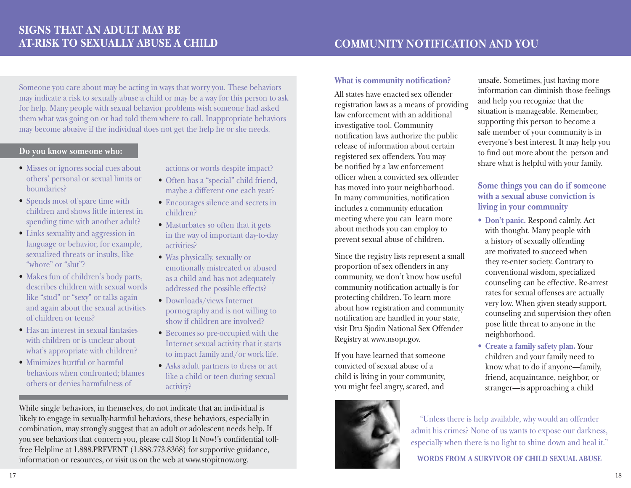Someone you care about may be acting in ways that worry you. These behaviors may indicate a risk to sexually abuse a child or may be a way for this person to ask for help. Many people with sexual behavior problems wish someone had asked them what was going on or had told them where to call. Inappropriate behaviors may become abusive if the individual does not get the help he or she needs.

#### **Do you know someone who:**

- Misses or ignores social cues about others' personal or sexual limits or boundaries?
- Spends most of spare time with children and shows little interest in spending time with another adult?
- Links sexuality and aggression in language or behavior, for example, sexualized threats or insults, like "whore" or "slut"?
- Makes fun of children's body parts, describes children with sexual words like "stud" or "sexy" or talks again and again about the sexual activities of children or teens?
- Has an interest in sexual fantasies with children or is unclear about what's appropriate with children?
- Minimizes hurtful or harmful behaviors when confronted; blames others or denies harmfulness of

actions or words despite impact?

- • Often has a "special" child friend, maybe a different one each year?
- Encourages silence and secrets in children?
- Masturbates so often that it gets in the way of important day-to-day activities?
- Was physically, sexually or emotionally mistreated or abused as a child and has not adequately addressed the possible effects?
- Downloads/views Internet pornography and is not willing to show if children are involved?
- Becomes so pre-occupied with the Internet sexual activity that it starts to impact family and/or work life.
- • Asks adult partners to dress or act like a child or teen during sexual activity?

While single behaviors, in themselves, do not indicate that an individual is likely to engage in sexually-harmful behaviors, these behaviors, especially in combination, may strongly suggest that an adult or adolescent needs help. If you see behaviors that concern you, please call Stop It Now!'s confidential tollfree Helpline at 1.888.PREVENT (1.888.773.8368) for supportive guidance, information or resources, or visit us on the web at www.stopitnow.org.

#### **What is community notification?**

All states have enacted sex offender registration laws as a means of providing law enforcement with an additional investigative tool. Community notification laws authorize the public release of information about certain registered sex offenders. You may be notified by a law enforcement officer when a convicted sex offender has moved into your neighborhood. In many communities, notification includes a community education meeting where you can learn more about methods you can employ to prevent sexual abuse of children.

Since the registry lists represent a small proportion of sex offenders in any community, we don't know how useful community notification actually is for protecting children. To learn more about how registration and community notification are handled in your state, visit Dru Sjodin National Sex Offender Registry at www.nsopr.gov.

If you have learned that someone convicted of sexual abuse of a child is living in your community, you might feel angry, scared, and



unsafe. Sometimes, just having more information can diminish those feelings and help you recognize that the situation is manageable. Remember, supporting this person to become a safe member of your community is in everyone's best interest. It may help you to find out more about the person and share what is helpful with your family.

## **Some things you can do if someone with a sexual abuse conviction is living in your community**

- • **Don't panic.** Respond calmly. Act with thought. Many people with a history of sexually offending are motivated to succeed when they re-enter society. Contrary to conventional wisdom, specialized counseling can be effective. Re-arrest rates for sexual offenses are actually very low. When given steady support, counseling and supervision they often pose little threat to anyone in the neighborhood.
- • **Create a family safety plan.** Your children and your family need to know what to do if anyone—family, friend, acquaintance, neighbor, or stranger—is approaching a child

"Unless there is help available, why would an offender admit his crimes? None of us wants to expose our darkness, especially when there is no light to shine down and heal it." **Words from a survivor of child sexual abuse**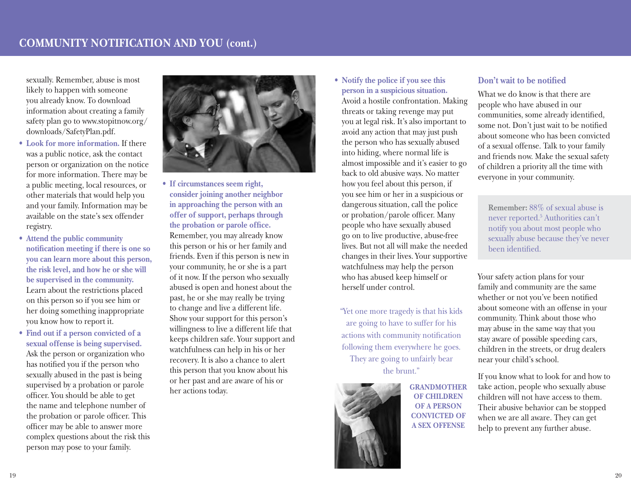sexually. Remember, abuse is most likely to happen with someone you already know. To download information about creating a family safety plan go to www.stopitnow.org/ downloads/SafetyPlan.pdf.

- • **Look for more information.** If there was a public notice, ask the contact person or organization on the notice for more information. There may be a public meeting, local resources, or other materials that would help you and your family. Information may be available on the state's sex offender registry.
- • **Attend the public community notification meeting if there is one so you can learn more about this person, the risk level, and how he or she will be supervised in the community.** Learn about the restrictions placed on this person so if you see him or her doing something inappropriate you know how to report it.
- • **Find out if a person convicted of a sexual offense is being supervised.** Ask the person or organization who has notified you if the person who sexually abused in the past is being supervised by a probation or parole officer. You should be able to get the name and telephone number of the probation or parole officer. This officer may be able to answer more complex questions about the risk this person may pose to your family.



- • **If circumstances seem right, consider joining another neighbor in approaching the person with an offer of support, perhaps through the probation or parole office.** Remember, you may already know this person or his or her family and friends. Even if this person is new in your community, he or she is a part of it now. If the person who sexually abused is open and honest about the past, he or she may really be trying to change and live a different life. Show your support for this person's willingness to live a different life that keeps children safe. Your support and watchfulness can help in his or her recovery. It is also a chance to alert this person that you know about his or her past and are aware of his or her actions today.
- • **Notify the police if you see this person in a suspicious situation.** Avoid a hostile confrontation. Making threats or taking revenge may put you at legal risk. It's also important to avoid any action that may just push the person who has sexually abused into hiding, where normal life is almost impossible and it's easier to go back to old abusive ways. No matter how you feel about this person, if you see him or her in a suspicious or dangerous situation, call the police or probation/parole officer. Many people who have sexually abused go on to live productive, abuse-free lives. But not all will make the needed changes in their lives. Your supportive watchfulness may help the person who has abused keep himself or herself under control.

"Yet one more tragedy is that his kids are going to have to suffer for his actions with community notification following them everywhere he goes. They are going to unfairly bear the brunt."



**Grandmother of children of a person convicted of a sex offense**

### **Don't wait to be notified**

What we do know is that there are people who have abused in our communities, some already identified, some not. Don't just wait to be notified about someone who has been convicted of a sexual offense. Talk to your family and friends now. Make the sexual safety of children a priority all the time with everyone in your community.

**Remember:** 88% of sexual abuse is never reported.<sup>5</sup> Authorities can't notify you about most people who sexually abuse because they've never been identified.

Your safety action plans for your family and community are the same whether or not you've been notified about someone with an offense in your community. Think about those who may abuse in the same way that you stay aware of possible speeding cars, children in the streets, or drug dealers near your child's school.

If you know what to look for and how to take action, people who sexually abuse children will not have access to them. Their abusive behavior can be stopped when we are all aware. They can get help to prevent any further abuse.